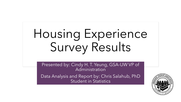# Housing Experience Survey Results

Presented by: Cindy H. T. Yeung, GSA-UW VP of Administration

Data Analysis and Report by: Chris Salahub, PhD Student in Statistics

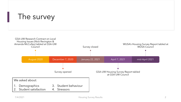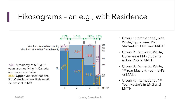### Eikosograms – an e.g., with Residence

Yes, I am in another country  $\sqrt{8\%}$ Yes, I am in another Canadian city

73%: A majority of STEM 1st years are not living in Canada, and may never have 85%: Upper-year international STEM students are likely to still be present in KW



- Group 1: International, Non-White, Upper-Year PhD Students in ENG and MATH
- Group 2: Domestic, White, Upper-Year PhD Students not in ENG or MATH
- Group 3: Domestic, White, 1 st Year Master's not in ENG or MATH
- Group 4: International, 1<sup>st</sup> Year Master's in ENG and **MATH**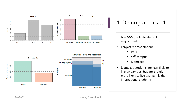

![](_page_3_Figure_1.jpeg)

### 1. Demographics – 1

- N = **566** graduate student respondents
- Largest representation:
	- PhD
	- Off-campus
	- Domestic
- Domestic students are less likely to live on campus, but are slightly more likely to live with family than international students

0.89

 $0.78$ 

0.67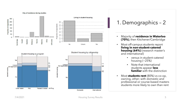![](_page_4_Figure_0.jpeg)

### 1. Demographics – 2

- Majority of **residence in Waterloo (70%)**, then Kitchener/Cambridge
- Most off -campus students report **living in non -student -catered housing (64%)** (research master's and international)
	- versus in student-catered housing  $(-25%)$
	- Note that international students appear **less familiar** with the distinction
- Most **students rent** (80%) vs co -op, owning, other; with domestic and professional or course -based masters students more likely to own than rent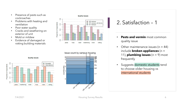- Presence of pests such as cockroaches
- Problems with heating and ventilation
- Poor water quality
- Cracks and weathering on exterior of unit
- Mold or mildew
- Evidence of damaged or rotting building materials

![](_page_5_Figure_6.jpeg)

![](_page_5_Figure_7.jpeg)

![](_page_5_Figure_8.jpeg)

### 2. Satisfaction – 1

- **Pests and vermin** most common quality issue
- Other maintenance issues  $(n = 44)$ include **broken appliances** (n = 11), **plumbing issues**  $(n = 9)$  most frequently
- Suggests domestic students tend to choose older housing vs international students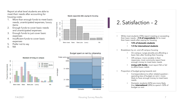#### Report at what level students are able to meet their needs after accounting for housing costs:

More than enough funds to meet basic needs, unanticipated expenses, luxury items

Proportion of respondents

- Enough funds to cover basic needs and unanticipated expenses
- 3. Enough funds to just cover basic expenses
- 4. Insufficient funds to cover basic expenses
- 5. Prefer not to say
- 6. NA

![](_page_6_Figure_7.jpeg)

![](_page_6_Figure_8.jpeg)

#### Needs supported after paying for housing

![](_page_6_Figure_10.jpeg)

### 2. Satisfaction – 2

- While most students (70%) report meeting or exceeding their basic needs, **~1/4 of respondents** fail to meet their basic needs after paying for housing
	- **13% of domestic students**
	- **1/3 for international students**
- Breakdown by on- and off-campus housing
	- On-campus: Large plurality are affording a basic QoL after funding their housing
	- Off-campus: more variable in their responses; most commonly report have enough money to meet basic needs
	- **Living with family**: most report NA or fail to afford basic needs
- Proportion of budget going towards rent
	- Correspondence to other related question spending less of budget on rent = more likely to have enough money to meet basic needs
	- Domestic students (42%) are more likely than **international** (28%) to spend <50% of budget on rent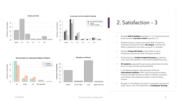![](_page_7_Figure_0.jpeg)

#### 2. Satisfaction – 3

- Roughly **half of students** experience 1 or 2 maintenance issue every semester, **less than a tenth** experience >5
- Students living on campus were more likely to report no maintenance issues than those **off campus**, and were less likely to experience more than one issue in a semester
- Students **living with family** are less likely to report maintenance issues than other off campus students
- Students living in **student-targeted housing** typically face more issues per semester vs non-student-targeted housing
- **53 students** suspected facing housing-related discrimination due to an aspect of their personal identity
- In the Waterloo Region, both domestic (10%) and **international students** (15%) face housing discrimination, however, the latter are twice as likely to indicate uncertainty over whether they had been treated in a discriminatory manner
- Roughly 1 in 3 students have lived in housing that required ≥2 major repairs, one of the definitions of **inadequate housing**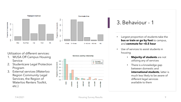![](_page_8_Figure_0.jpeg)

Utilization of different services:

- 1. WUSA Off Campus Housing Service
- 2. Studentcare Legal Protection Program
- 3. External services (Waterloo Region Community Legal Services, the Region of Waterloo Renters Toolkit, etc.)

![](_page_8_Figure_5.jpeg)

### 3. Behaviour - 1

- Largest proportion of students take the **bus or train or go by foot** to campus, and **commute for <0.5 hour**
- Use of services to assist students in housing
	- **Majority of students** are not utilizing any of services
	- There is a knowledge gap between domestic and **international students**, latter is much less likely to be aware of different legal services available to them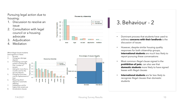#### Pursuing legal action due to housing:

- Discussion to resolve an issue
- 2. Consultation with legal council or a housing advocate
- 3. Adjudication
- 4. Mediation

![](_page_9_Figure_5.jpeg)

![](_page_9_Figure_6.jpeg)

- 3. Behaviour 2
- address **concerns with their landlords** is the discussion of issues
- However, despite similar housing quality responses for both citizenship groups, **international students** are much less likely to report pursuing these conversations
- Most common illegal clause signed is the **prohibition of pets**; can also see that **domestic students** more likely to have signed leases with illegal clauses
- **International students** are far less likely to recognize illegal clauses than domestic students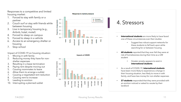Responses to a competitive and limited housing market:

- Forced to stay with family or a partner
- 2. Couch surf or stay with friends while between housing
- 3. Live in temporary housing (e.g., Airbnb, hotel, motel)
- 4. Forced to sleep on campus
- 5. Forced to sleep in a vehicle
- 6. Access to an emergency shelter or housing
- Stop school

Impact of COVID -19 on housing situation:

- Moving in with family
- 2. Reducing money they have for non shelter expenses
- 3. Resulting in a lease termination
- 4. Paying rent despite moving out
- 5. Causing roommates to leave
- 6. Allow them to arrange a sublet
- 7. Causing a negotiated rent reduction
- 8. Causing rent to increase
- 9. Leading to eviction
- 10. Interrupting a planned sublet

![](_page_10_Figure_19.jpeg)

![](_page_10_Figure_20.jpeg)

### 4. Stressors

- one of these circumstances over their studies
	- Suggest less robust support networks for these students to fall back upon while searching for or between housing
- **68 students** reported that they ever felt they were at risk of homelessness during their time as a UW student
	- Greater anxiety appears to exist in **international students**
- As a result of COVID -19, **international students**  have been more likely to experience a change in their housing situation, less likely to move in with family, and have less money for non -shelter expenses
- 27 students responded that they were provided with an eviction noticed or asked to vacate by their landlord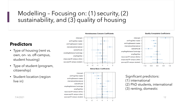### Modelling – Focusing on: (1) security, (2) sustainability, and (3) quality of housing

#### **Predictors**

- Type of housing (rent vs. own, on- vs. off-campus, student housing)
- Type of student (program, citizenship)
- Student location (region live in)

![](_page_11_Figure_5.jpeg)

![](_page_11_Figure_6.jpeg)

#### **Homelessness Concern Coefficients**

![](_page_11_Figure_8.jpeg)

#### **Quality Complaints Coefficients**

![](_page_11_Figure_10.jpeg)

Significant predictors:

- (1) international
- (2) PhD students, international
- (3) renting, domestic